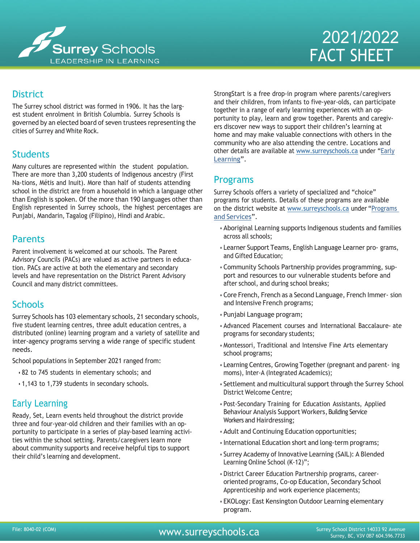

# 2021/2022 FACT SHEET

# **District**

The Surrey school district was formed in 1906. It has the largest student enrolment in British Columbia. Surrey Schools is governed by an elected board of seven trustees representing the cities of Surrey and White Rock.

## Students

Many cultures are represented within the student population. There are more than 3,200 students of Indigenous ancestry (First Na- tions, Métis and Inuit). More than half of students attending school in the district are from a household in which a language other than English is spoken. Of the more than 190 languages other than English represented in Surrey schools, the highest percentages are Punjabi, Mandarin, Tagalog (Filipino), Hindi and Arabic.

#### Parents

Parent involvement is welcomed at our schools. The Parent Advisory Councils (PACs) are valued as active partners in education. PACs are active at both the elementary and secondary levels and have representation on the District Parent Advisory Council and many district committees.

## **Schools**

Surrey Schools has 103 elementary schools, 21 secondary schools, five student learning centres, three adult education centres, a distributed (online) learning program and a variety of satellite and inter-agency programs serving a wide range of specific student needs.

School populations in September 2021 ranged from:

- 82 to 745 students in elementary schools; and
- 1,143 to 1,739 students in secondary schools.

## Early Learning

Ready, Set, Learn events held throughout the district provide three and four-year-old children and their families with an opportunity to participate in a series of play-based learning activities within the school setting. Parents/caregivers learn more about community supports and receive helpful tips to support their child's learning and development.

StrongStart is a free drop-in program where parents/caregivers and their children, from infants to five-year-olds, can participate together in a range of early learning experiences with an opportunity to play, learn and grow together. Parents and caregivers discover new ways to support their children's learning at home and may make valuable connections with others in the community who are also attending the centre. Locations and other details are available at [www.surreyschools.ca](http://www.surreyschools.ca/) under ["Early](https://www.surreyschools.ca/EarlyLearning/Pages/default.aspx) [Learning"](https://www.surreyschools.ca/EarlyLearning/Pages/default.aspx).

## Programs

Surrey Schools offers a variety of specialized and "choice" programs for students. Details of these programs are available on the district website at [www.surreyschools.ca](http://www.surreyschools.ca/) under ["Programs](https://www.surreyschools.ca/EducationalPrograms/Pages/default.aspx) [and Services"](https://www.surreyschools.ca/EducationalPrograms/Pages/default.aspx).

- Aboriginal Learning supports Indigenous students and families across all schools;
- Learner Support Teams, English Language Learner pro- grams, and Gifted Education;
- Community Schools Partnership provides programming, support and resources to our vulnerable students before and after school, and during school breaks;
- Core French, French as a Second Language, French Immer- sion and Intensive French programs;
- Punjabi Language program;
- Advanced Placement courses and International Baccalaure- ate programs for secondary students;
- Montessori, Traditional and Intensive Fine Arts elementary school programs;
- Learning Centres, Growing Together (pregnant and parent- ing moms), Inter-A (Integrated Academics);
- Settlement and multicultural support through the Surrey School District Welcome Centre;
- Post-Secondary Training for Education Assistants, Applied Behaviour Analysis Support Workers, Building Service Workers and Hairdressing;
- Adult and Continuing Education opportunities;
- International Education short and long-term programs;
- Surrey Academy of Innovative Learning (SAIL): A Blended Learning Online School (K-12)";
- District Career Education Partnership programs, careeroriented programs, Co-op Education, Secondary School Apprenticeship and work experience placements;
- EKOLogy: East Kensington Outdoor Learning elementary program.